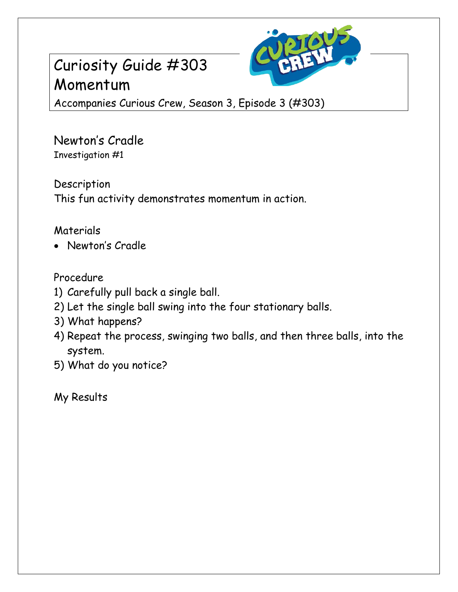## Curiosity Guide #303 Momentum



Accompanies Curious Crew, Season 3, Episode 3 (#303)

Newton's Cradle Investigation #1

Description This fun activity demonstrates momentum in action.

## Materials

Newton's Cradle

## Procedure

- 1) Carefully pull back a single ball.
- 2) Let the single ball swing into the four stationary balls.
- 3) What happens?
- 4) Repeat the process, swinging two balls, and then three balls, into the system.
- 5) What do you notice?

My Results